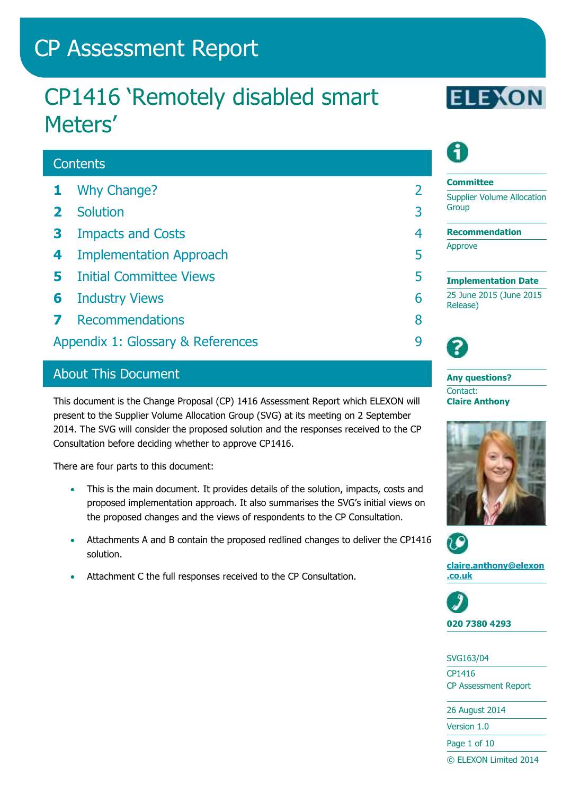# CP Assessment Report

# CP1416 'Remotely disabled smart Meters'

## **Contents**

- **1** [Why Change?](#page-1-0) 2
- **2** [Solution](#page-2-0) 3
- **3** [Impacts and Costs](#page-3-0) 4
- **4** [Implementation Approach](#page-4-0) 5
- **5** [Initial Committee Views](#page-4-1) 5
- **6** [Industry Views](#page-5-0) 6
- **7** [Recommendations](#page-7-0) 8
- [Appendix 1: Glossary & References](#page-8-0) 9

## About This Document

This document is the Change Proposal (CP) 1416 Assessment Report which ELEXON will present to the Supplier Volume Allocation Group (SVG) at its meeting on 2 September 2014. The SVG will consider the proposed solution and the responses received to the CP Consultation before deciding whether to approve CP1416.

There are four parts to this document:

- This is the main document. It provides details of the solution, impacts, costs and proposed implementation approach. It also summarises the SVG's initial views on the proposed changes and the views of respondents to the CP Consultation.
- Attachments A and B contain the proposed redlined changes to deliver the CP1416 solution.
- Attachment C the full responses received to the CP Consultation.





## **Committee**

Supplier Volume Allocation Group

**Recommendation**

Approve

**Implementation Date** 25 June 2015 (June 2015 Release)



**Any questions?** Contact: **Claire Anthony**





**[claire.anthony@elexon](mailto:claire.anthony@elexon.co.uk) [.co.uk](mailto:claire.anthony@elexon.co.uk)**



#### SVG163/04

CP1416 CP Assessment Report

26 August 2014

Version 1.0

Page 1 of 10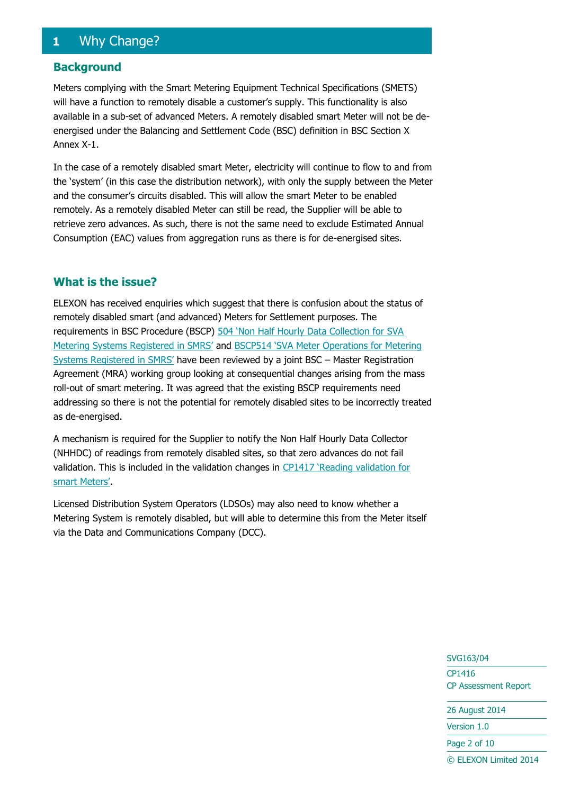## <span id="page-1-0"></span>**1** Why Change?

#### **Background**

Meters complying with the Smart Metering Equipment Technical Specifications (SMETS) will have a function to remotely disable a customer's supply. This functionality is also available in a sub-set of advanced Meters. A remotely disabled smart Meter will not be deenergised under the Balancing and Settlement Code (BSC) definition in BSC Section X Annex X-1.

In the case of a remotely disabled smart Meter, electricity will continue to flow to and from the 'system' (in this case the distribution network), with only the supply between the Meter and the consumer's circuits disabled. This will allow the smart Meter to be enabled remotely. As a remotely disabled Meter can still be read, the Supplier will be able to retrieve zero advances. As such, there is not the same need to exclude Estimated Annual Consumption (EAC) values from aggregation runs as there is for de-energised sites.

#### **What is the issue?**

ELEXON has received enquiries which suggest that there is confusion about the status of remotely disabled smart (and advanced) Meters for Settlement purposes. The requirements in BSC Procedure (BSCP) [504 'Non Half Hourly Data Collection for SVA](http://www.elexon.co.uk/bsc-related-documents/related-documents/bscps)  [Metering Systems Registered in SMRS'](http://www.elexon.co.uk/bsc-related-documents/related-documents/bscps) and [BSCP514 'SVA Meter Operations for Metering](http://www.elexon.co.uk/bsc-related-documents/related-documents/bscps)  [Systems Registered in SMRS'](http://www.elexon.co.uk/bsc-related-documents/related-documents/bscps) have been reviewed by a joint BSC – Master Registration Agreement (MRA) working group looking at consequential changes arising from the mass roll-out of smart metering. It was agreed that the existing BSCP requirements need addressing so there is not the potential for remotely disabled sites to be incorrectly treated as de-energised.

A mechanism is required for the Supplier to notify the Non Half Hourly Data Collector (NHHDC) of readings from remotely disabled sites, so that zero advances do not fail validation. This is included in the validation changes in [CP1417 'Reading validation for](http://www.elexon.co.uk/change-proposal/cp1417/)  [smart Meters'](http://www.elexon.co.uk/change-proposal/cp1417/).

Licensed Distribution System Operators (LDSOs) may also need to know whether a Metering System is remotely disabled, but will able to determine this from the Meter itself via the Data and Communications Company (DCC).

> SVG163/04 CP1416 CP Assessment Report

26 August 2014

Version 1.0

Page 2 of 10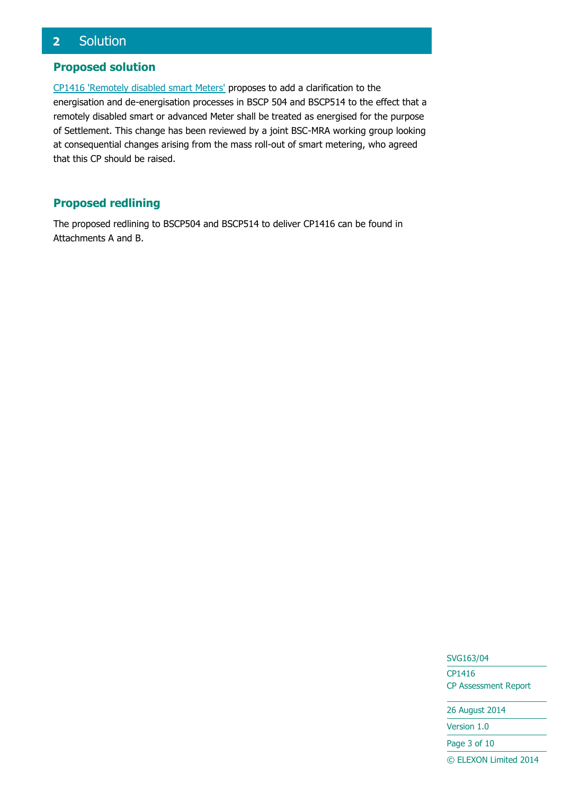## <span id="page-2-0"></span>**2** Solution

#### **Proposed solution**

[CP1416 'Remotely disabled smart Meters'](http://www.elexon.co.uk/change-proposal/cp1416/) proposes to add a clarification to the energisation and de-energisation processes in BSCP 504 and BSCP514 to the effect that a remotely disabled smart or advanced Meter shall be treated as energised for the purpose of Settlement. This change has been reviewed by a joint BSC-MRA working group looking at consequential changes arising from the mass roll-out of smart metering, who agreed that this CP should be raised.

## **Proposed redlining**

The proposed redlining to BSCP504 and BSCP514 to deliver CP1416 can be found in Attachments A and B.

> SVG163/04 CP1416 CP Assessment Report

26 August 2014

Version 1.0

Page 3 of 10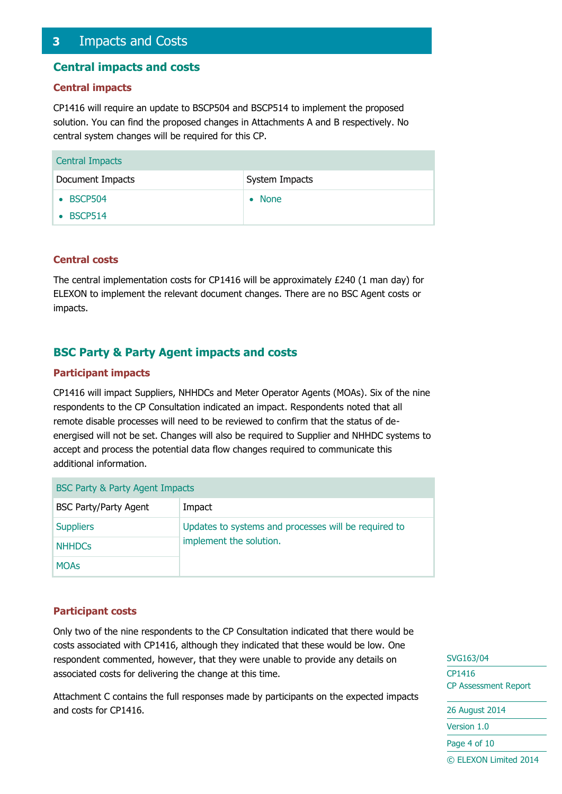## <span id="page-3-0"></span>**3** Impacts and Costs

#### **Central impacts and costs**

#### **Central impacts**

CP1416 will require an update to BSCP504 and BSCP514 to implement the proposed solution. You can find the proposed changes in Attachments A and B respectively. No central system changes will be required for this CP.

| <b>Central Impacts</b> |                          |  |
|------------------------|--------------------------|--|
| Document Impacts       | System Impacts           |  |
| • BSCP504              | <b>None</b><br>$\bullet$ |  |
| $\bullet$ BSCP514      |                          |  |

#### **Central costs**

The central implementation costs for CP1416 will be approximately £240 (1 man day) for ELEXON to implement the relevant document changes. There are no BSC Agent costs or impacts.

#### **BSC Party & Party Agent impacts and costs**

#### **Participant impacts**

CP1416 will impact Suppliers, NHHDCs and Meter Operator Agents (MOAs). Six of the nine respondents to the CP Consultation indicated an impact. Respondents noted that all remote disable processes will need to be reviewed to confirm that the status of deenergised will not be set. Changes will also be required to Supplier and NHHDC systems to accept and process the potential data flow changes required to communicate this additional information.

| BSC Party & Party Agent Impacts |                                                                                 |  |
|---------------------------------|---------------------------------------------------------------------------------|--|
| <b>BSC Party/Party Agent</b>    | Impact                                                                          |  |
| <b>Suppliers</b>                | Updates to systems and processes will be required to<br>implement the solution. |  |
| <b>NHHDCs</b>                   |                                                                                 |  |
| <b>MOAs</b>                     |                                                                                 |  |

#### **Participant costs**

Only two of the nine respondents to the CP Consultation indicated that there would be costs associated with CP1416, although they indicated that these would be low. One respondent commented, however, that they were unable to provide any details on associated costs for delivering the change at this time.

Attachment C contains the full responses made by participants on the expected impacts and costs for CP1416.

SVG163/04 CP1416 CP Assessment Report

26 August 2014 Version 1.0 Page 4 of 10 © ELEXON Limited 2014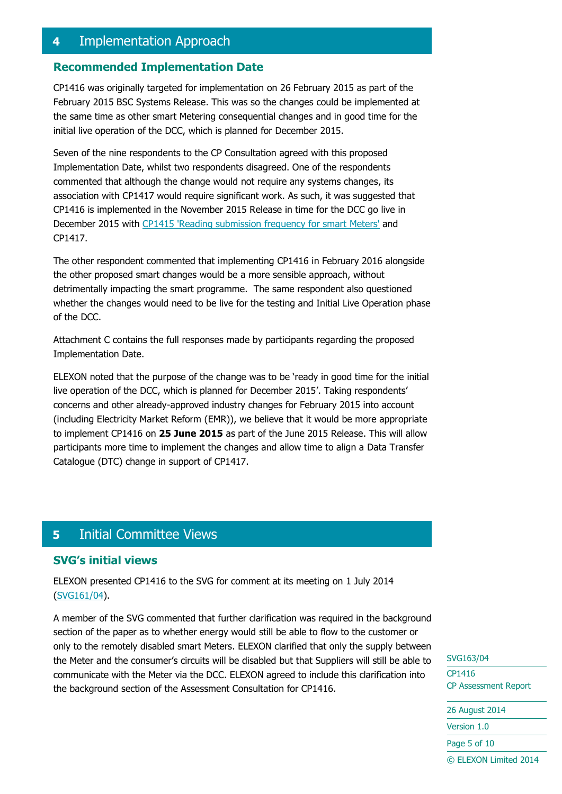## <span id="page-4-0"></span>**4** Implementation Approach

#### **Recommended Implementation Date**

CP1416 was originally targeted for implementation on 26 February 2015 as part of the February 2015 BSC Systems Release. This was so the changes could be implemented at the same time as other smart Metering consequential changes and in good time for the initial live operation of the DCC, which is planned for December 2015.

Seven of the nine respondents to the CP Consultation agreed with this proposed Implementation Date, whilst two respondents disagreed. One of the respondents commented that although the change would not require any systems changes, its association with CP1417 would require significant work. As such, it was suggested that CP1416 is implemented in the November 2015 Release in time for the DCC go live in December 2015 with [CP1415 'Reading submission frequency for smart Meters'](http://www.elexon.co.uk/change-proposal/cp1415/) and CP1417.

The other respondent commented that implementing CP1416 in February 2016 alongside the other proposed smart changes would be a more sensible approach, without detrimentally impacting the smart programme. The same respondent also questioned whether the changes would need to be live for the testing and Initial Live Operation phase of the DCC.

Attachment C contains the full responses made by participants regarding the proposed Implementation Date.

ELEXON noted that the purpose of the change was to be 'ready in good time for the initial live operation of the DCC, which is planned for December 2015'. Taking respondents' concerns and other already-approved industry changes for February 2015 into account (including Electricity Market Reform (EMR)), we believe that it would be more appropriate to implement CP1416 on **25 June 2015** as part of the June 2015 Release. This will allow participants more time to implement the changes and allow time to align a Data Transfer Catalogue (DTC) change in support of CP1417.

## <span id="page-4-1"></span>**5** Initial Committee Views

#### **SVG's initial views**

ELEXON presented CP1416 to the SVG for comment at its meeting on 1 July 2014 [\(SVG161/04\)](http://www.elexon.co.uk/meeting/svg-160-2/).

A member of the SVG commented that further clarification was required in the background section of the paper as to whether energy would still be able to flow to the customer or only to the remotely disabled smart Meters. ELEXON clarified that only the supply between the Meter and the consumer's circuits will be disabled but that Suppliers will still be able to communicate with the Meter via the DCC. ELEXON agreed to include this clarification into the background section of the Assessment Consultation for CP1416.

SVG163/04 CP1416 CP Assessment Report

```
26 August 2014
Version 1.0
Page 5 of 10
© ELEXON Limited 2014
```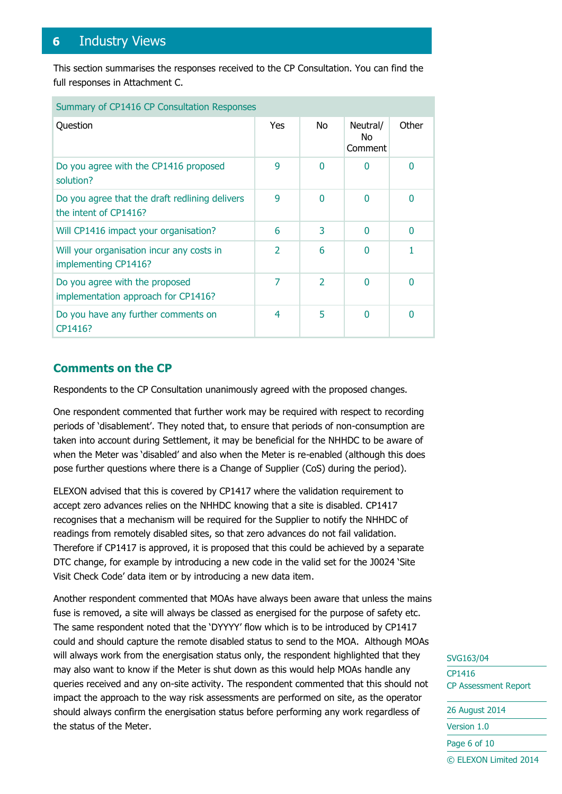## <span id="page-5-0"></span>**6** Industry Views

This section summarises the responses received to the CP Consultation. You can find the full responses in Attachment C.

| Summary of CP1416 CP Consultation Responses                             |                          |                          |                            |                |
|-------------------------------------------------------------------------|--------------------------|--------------------------|----------------------------|----------------|
| Question                                                                | Yes                      | No                       | Neutral/<br>No.<br>Comment | Other          |
| Do you agree with the CP1416 proposed<br>solution?                      | 9                        | $\Omega$                 | 0                          | $\overline{0}$ |
| Do you agree that the draft redlining delivers<br>the intent of CP1416? | 9                        | $\Omega$                 | 0                          | $\overline{0}$ |
| Will CP1416 impact your organisation?                                   | 6                        | 3                        | 0                          | $\overline{0}$ |
| Will your organisation incur any costs in<br>implementing CP1416?       | $\overline{\mathcal{L}}$ | 6                        | O                          |                |
| Do you agree with the proposed<br>implementation approach for CP1416?   | 7                        | $\overline{\phantom{a}}$ | U                          | $\Omega$       |
| Do you have any further comments on<br>CP1416?                          | 4                        | 5                        | N                          | 0              |

#### **Comments on the CP**

Respondents to the CP Consultation unanimously agreed with the proposed changes.

One respondent commented that further work may be required with respect to recording periods of 'disablement'. They noted that, to ensure that periods of non-consumption are taken into account during Settlement, it may be beneficial for the NHHDC to be aware of when the Meter was 'disabled' and also when the Meter is re-enabled (although this does pose further questions where there is a Change of Supplier (CoS) during the period).

ELEXON advised that this is covered by CP1417 where the validation requirement to accept zero advances relies on the NHHDC knowing that a site is disabled. CP1417 recognises that a mechanism will be required for the Supplier to notify the NHHDC of readings from remotely disabled sites, so that zero advances do not fail validation. Therefore if CP1417 is approved, it is proposed that this could be achieved by a separate DTC change, for example by introducing a new code in the valid set for the J0024 'Site Visit Check Code' data item or by introducing a new data item.

Another respondent commented that MOAs have always been aware that unless the mains fuse is removed, a site will always be classed as energised for the purpose of safety etc. The same respondent noted that the 'DYYYY' flow which is to be introduced by CP1417 could and should capture the remote disabled status to send to the MOA. Although MOAs will always work from the energisation status only, the respondent highlighted that they may also want to know if the Meter is shut down as this would help MOAs handle any queries received and any on-site activity. The respondent commented that this should not impact the approach to the way risk assessments are performed on site, as the operator should always confirm the energisation status before performing any work regardless of the status of the Meter.

SVG163/04 CP1416 CP Assessment Report

```
26 August 2014
Version 1.0
Page 6 of 10
```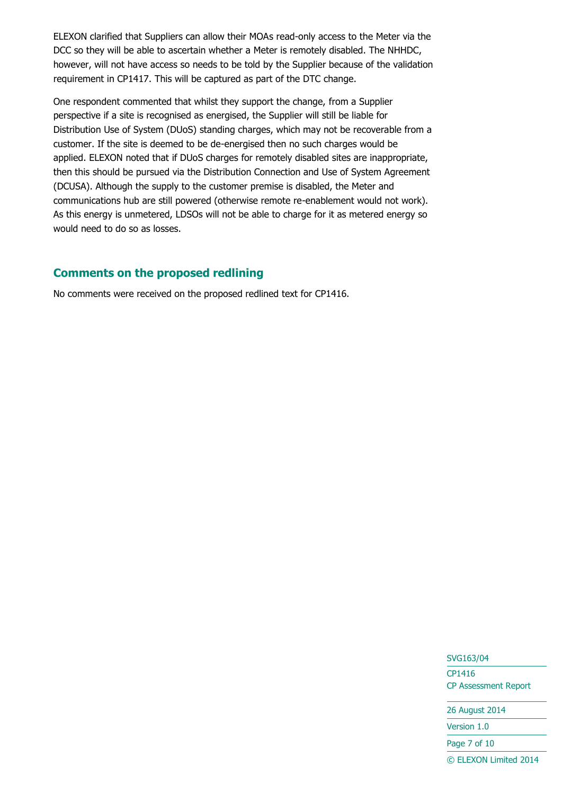ELEXON clarified that Suppliers can allow their MOAs read-only access to the Meter via the DCC so they will be able to ascertain whether a Meter is remotely disabled. The NHHDC, however, will not have access so needs to be told by the Supplier because of the validation requirement in CP1417. This will be captured as part of the DTC change.

One respondent commented that whilst they support the change, from a Supplier perspective if a site is recognised as energised, the Supplier will still be liable for Distribution Use of System (DUoS) standing charges, which may not be recoverable from a customer. If the site is deemed to be de-energised then no such charges would be applied. ELEXON noted that if DUoS charges for remotely disabled sites are inappropriate, then this should be pursued via the Distribution Connection and Use of System Agreement (DCUSA). Although the supply to the customer premise is disabled, the Meter and communications hub are still powered (otherwise remote re-enablement would not work). As this energy is unmetered, LDSOs will not be able to charge for it as metered energy so would need to do so as losses.

#### **Comments on the proposed redlining**

No comments were received on the proposed redlined text for CP1416.

SVG163/04 CP1416 CP Assessment Report

26 August 2014

Version 1.0

Page 7 of 10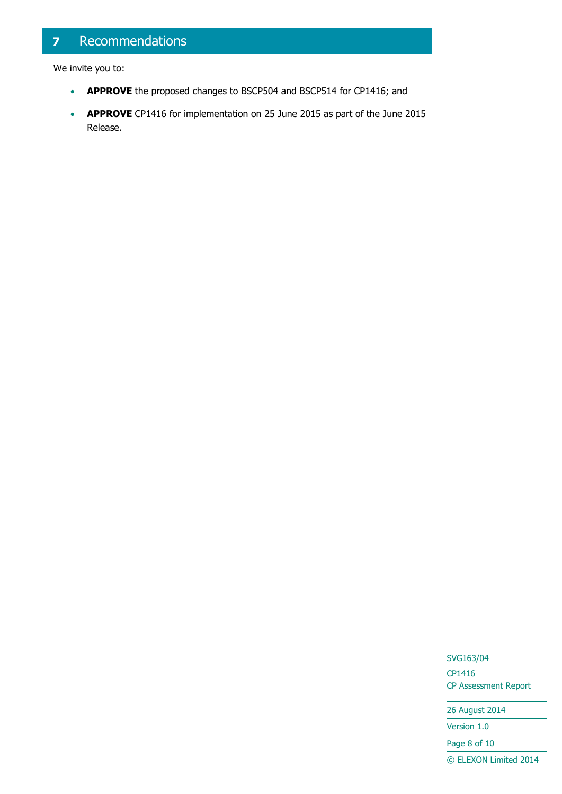## <span id="page-7-0"></span>**7** Recommendations

We invite you to:

- **APPROVE** the proposed changes to BSCP504 and BSCP514 for CP1416; and
- **APPROVE** CP1416 for implementation on 25 June 2015 as part of the June 2015 Release.

SVG163/04

CP1416 CP Assessment Report

26 August 2014

Version 1.0

Page 8 of 10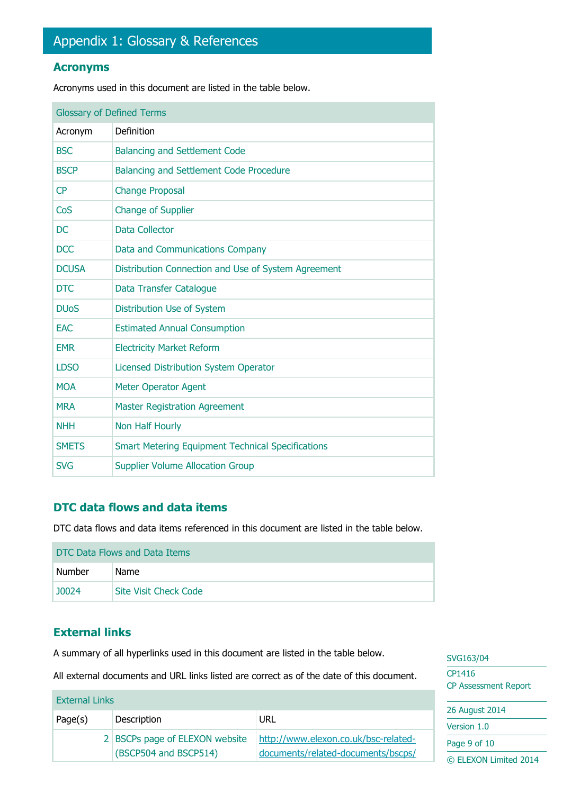#### <span id="page-8-0"></span>**Acronyms**

Acronyms used in this document are listed in the table below.

| <b>Glossary of Defined Terms</b> |                                                          |  |
|----------------------------------|----------------------------------------------------------|--|
| Acronym                          | Definition                                               |  |
| <b>BSC</b>                       | <b>Balancing and Settlement Code</b>                     |  |
| <b>BSCP</b>                      | <b>Balancing and Settlement Code Procedure</b>           |  |
| CP                               | <b>Change Proposal</b>                                   |  |
| CoS                              | <b>Change of Supplier</b>                                |  |
| <b>DC</b>                        | <b>Data Collector</b>                                    |  |
| <b>DCC</b>                       | Data and Communications Company                          |  |
| <b>DCUSA</b>                     | Distribution Connection and Use of System Agreement      |  |
| <b>DTC</b>                       | Data Transfer Catalogue                                  |  |
| <b>DU<sub>o</sub>S</b>           | Distribution Use of System                               |  |
| <b>EAC</b>                       | <b>Estimated Annual Consumption</b>                      |  |
| <b>EMR</b>                       | <b>Electricity Market Reform</b>                         |  |
| <b>LDSO</b>                      | <b>Licensed Distribution System Operator</b>             |  |
| <b>MOA</b>                       | <b>Meter Operator Agent</b>                              |  |
| <b>MRA</b>                       | <b>Master Registration Agreement</b>                     |  |
| <b>NHH</b>                       | Non Half Hourly                                          |  |
| <b>SMETS</b>                     | <b>Smart Metering Equipment Technical Specifications</b> |  |
| <b>SVG</b>                       | <b>Supplier Volume Allocation Group</b>                  |  |

### **DTC data flows and data items**

DTC data flows and data items referenced in this document are listed in the table below.

| DTC Data Flows and Data Items |                       |  |
|-------------------------------|-----------------------|--|
| Number                        | Name                  |  |
| 10024                         | Site Visit Check Code |  |

### **External links**

A summary of all hyperlinks used in this document are listed in the table below.

All external documents and URL links listed are correct as of the date of this document.

|                       |                                                         |                                                                            | <b>CP Assessment Report</b>           |
|-----------------------|---------------------------------------------------------|----------------------------------------------------------------------------|---------------------------------------|
| <b>External Links</b> |                                                         |                                                                            |                                       |
| Page(s)               | Description                                             | URL                                                                        | 26 August 2014<br>Version 1.0         |
|                       | 2 BSCPs page of ELEXON website<br>(BSCP504 and BSCP514) | http://www.elexon.co.uk/bsc-related-<br>documents/related-documents/bscps/ | Page 9 of 10<br>© ELEXON Limited 2014 |

SVG163/04 CP1416